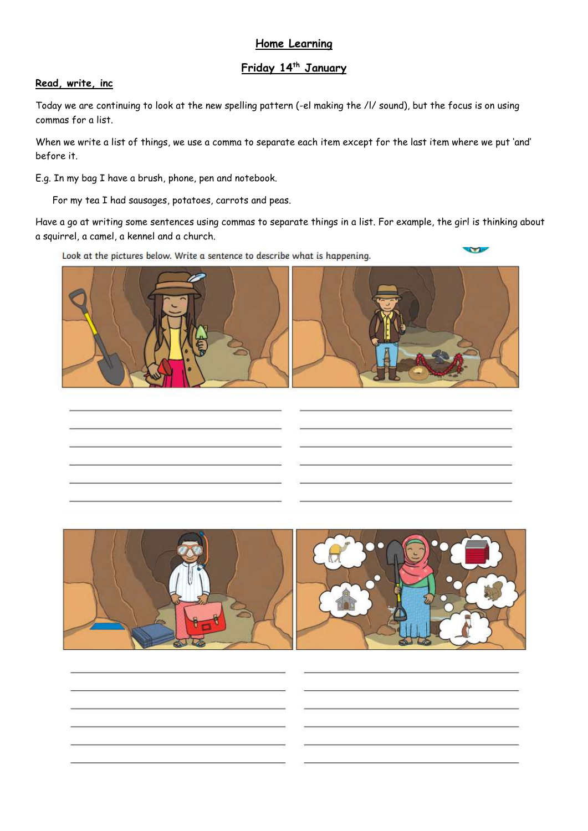## **Home Learning**

# **Friday 14th January**

## **Read, write, inc**

Today we are continuing to look at the new spelling pattern (-el making the /l/ sound), but the focus is on using commas for a list.

When we write a list of things, we use a comma to separate each item except for the last item where we put 'and' before it.

E.g. In my bag I have a brush, phone, pen and notebook.

For my tea I had sausages, potatoes, carrots and peas.

Have a go at writing some sentences using commas to separate things in a list. For example, the girl is thinking about a squirrel, a camel, a kennel and a church.

**COLOR** 

Look at the pictures below. Write a sentence to describe what is happening.



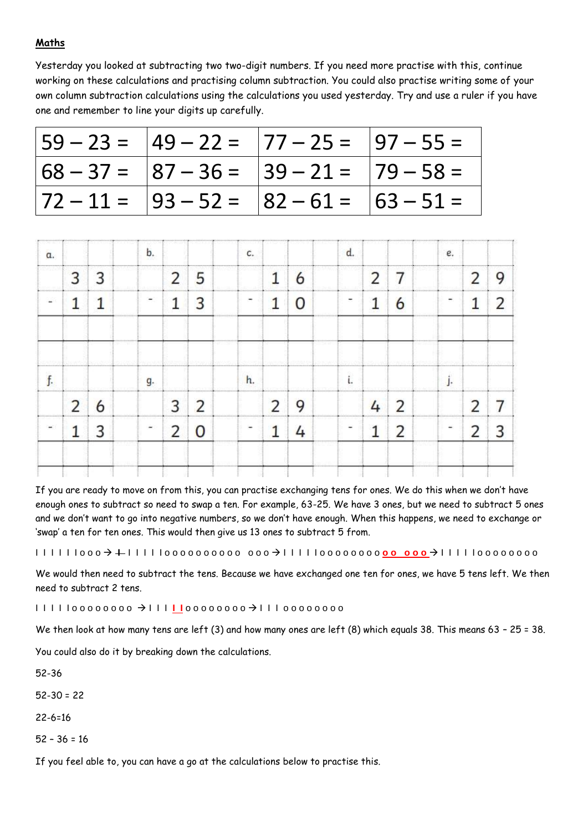## **Maths**

Yesterday you looked at subtracting two two-digit numbers. If you need more practise with this, continue working on these calculations and practising column subtraction. You could also practise writing some of your own column subtraction calculations using the calculations you used yesterday. Try and use a ruler if you have one and remember to line your digits up carefully.

| $ 59 - 23 =  49 - 22 =  77 - 25 =  97 - 55 =$ |  |
|-----------------------------------------------|--|
| $ 68 - 37 =  87 - 36 =  39 - 21 =  79 - 58 =$ |  |
| $ 72 - 11 =  93 - 52 =  82 - 61 =  63 - 51 =$ |  |

| α.         |                | b.              |                 | c.                           |             |                                                                          |               |                 | e.        |                                   |
|------------|----------------|-----------------|-----------------|------------------------------|-------------|--------------------------------------------------------------------------|---------------|-----------------|-----------|-----------------------------------|
| <br>18 D W |                |                 | $\sqrt{2}$      |                              |             | na m<br>Yrind 2                                                          |               |                 |           |                                   |
|            | ,,,,,,,,,,,,,, |                 | 011111111111111 |                              |             |                                                                          |               |                 |           |                                   |
|            |                | g.              |                 | -------------<br>h.          | 1240109-011 | <b><i><u>A R R R R WH &amp; R R R W</u></i></b><br>distant and continued | <br>          | -967<br><b></b> |           | <b><i><u>ARCHITECT</u>RES</i></b> |
|            |                |                 |                 |                              |             |                                                                          |               |                 |           |                                   |
|            | 20 M R 20 H    | ,,,,,,,,,,,,,,, | ,,,,,,,,,,,,,,  | 그 아이는 물질이 되는 것이 좋아하고 있었다. 물건 |             | ,,,,,,,,,,,,,                                                            | <b>SENSIN</b> |                 | --------- |                                   |
|            |                |                 |                 |                              |             |                                                                          |               |                 |           |                                   |

If you are ready to move on from this, you can practise exchanging tens for ones. We do this when we don't have enough ones to subtract so need to swap a ten. For example, 63-25. We have 3 ones, but we need to subtract 5 ones and we don't want to go into negative numbers, so we don't have enough. When this happens, we need to exchange or 'swap' a ten for ten ones. This would then give us 13 ones to subtract 5 from.

I I I I I I o o o **I** I I I I I o o o o o o o o o o o o o I I I I I o o o o o o o o **o o o o o**  I I I I I o o o o o o o o

We would then need to subtract the tens. Because we have exchanged one ten for ones, we have 5 tens left. We then need to subtract 2 tens.

I I I I I o o o o o o o o I I I **I I** o o o o o o o o I I I o o o o o o o o

We then look at how many tens are left (3) and how many ones are left (8) which equals 38. This means 63 - 25 = 38.

You could also do it by breaking down the calculations.

52-36

 $52-30 = 22$ 

22-6=16

 $52 - 36 = 16$ 

If you feel able to, you can have a go at the calculations below to practise this.